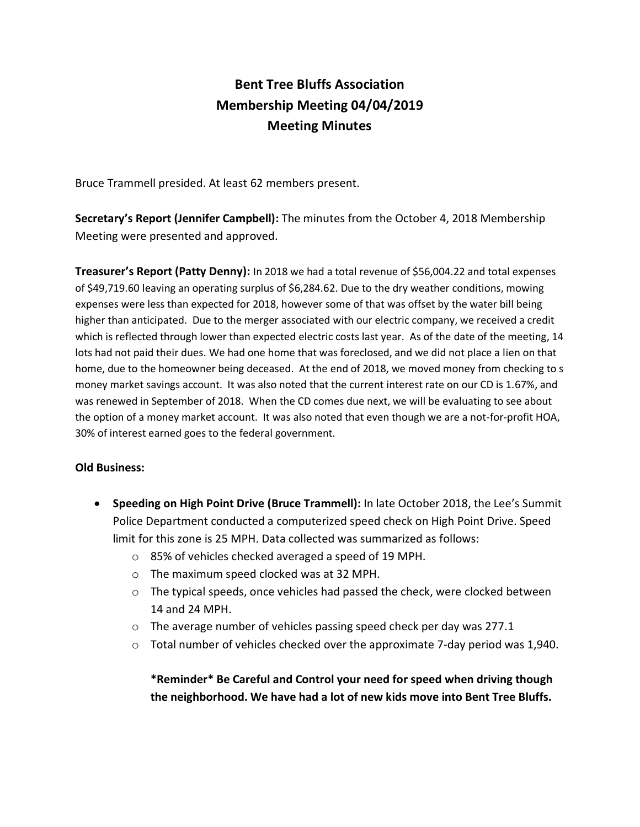# **Bent Tree Bluffs Association Membership Meeting 04/04/2019 Meeting Minutes**

Bruce Trammell presided. At least 62 members present.

**Secretary's Report (Jennifer Campbell):** The minutes from the October 4, 2018 Membership Meeting were presented and approved.

**Treasurer's Report (Patty Denny):** In 2018 we had a total revenue of \$56,004.22 and total expenses of \$49,719.60 leaving an operating surplus of \$6,284.62. Due to the dry weather conditions, mowing expenses were less than expected for 2018, however some of that was offset by the water bill being higher than anticipated. Due to the merger associated with our electric company, we received a credit which is reflected through lower than expected electric costs last year. As of the date of the meeting, 14 lots had not paid their dues. We had one home that was foreclosed, and we did not place a lien on that home, due to the homeowner being deceased. At the end of 2018, we moved money from checking to s money market savings account. It was also noted that the current interest rate on our CD is 1.67%, and was renewed in September of 2018. When the CD comes due next, we will be evaluating to see about the option of a money market account. It was also noted that even though we are a not-for-profit HOA, 30% of interest earned goes to the federal government.

### **Old Business:**

- **Speeding on High Point Drive (Bruce Trammell):** In late October 2018, the Lee's Summit Police Department conducted a computerized speed check on High Point Drive. Speed limit for this zone is 25 MPH. Data collected was summarized as follows:
	- o 85% of vehicles checked averaged a speed of 19 MPH.
	- o The maximum speed clocked was at 32 MPH.
	- $\circ$  The typical speeds, once vehicles had passed the check, were clocked between 14 and 24 MPH.
	- o The average number of vehicles passing speed check per day was 277.1
	- $\circ$  Total number of vehicles checked over the approximate 7-day period was 1,940.

**\*Reminder\* Be Careful and Control your need for speed when driving though the neighborhood. We have had a lot of new kids move into Bent Tree Bluffs.**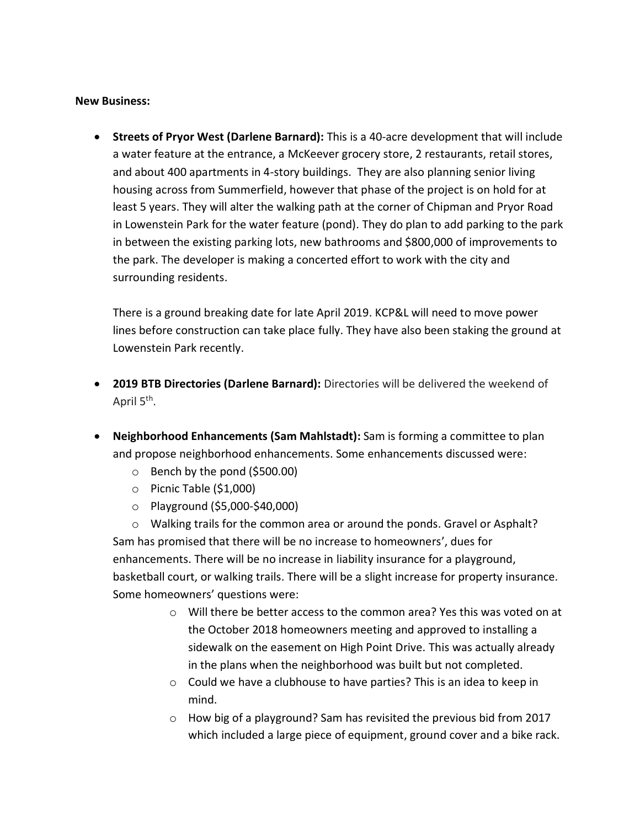#### **New Business:**

• **Streets of Pryor West (Darlene Barnard):** This is a 40-acre development that will include a water feature at the entrance, a McKeever grocery store, 2 restaurants, retail stores, and about 400 apartments in 4-story buildings. They are also planning senior living housing across from Summerfield, however that phase of the project is on hold for at least 5 years. They will alter the walking path at the corner of Chipman and Pryor Road in Lowenstein Park for the water feature (pond). They do plan to add parking to the park in between the existing parking lots, new bathrooms and \$800,000 of improvements to the park. The developer is making a concerted effort to work with the city and surrounding residents.

There is a ground breaking date for late April 2019. KCP&L will need to move power lines before construction can take place fully. They have also been staking the ground at Lowenstein Park recently.

- **2019 BTB Directories (Darlene Barnard):** Directories will be delivered the weekend of April 5<sup>th</sup>.
- **Neighborhood Enhancements (Sam Mahlstadt):** Sam is forming a committee to plan and propose neighborhood enhancements. Some enhancements discussed were:
	- $\circ$  Bench by the pond (\$500.00)
	- o Picnic Table (\$1,000)
	- o Playground (\$5,000-\$40,000)

 $\circ$  Walking trails for the common area or around the ponds. Gravel or Asphalt? Sam has promised that there will be no increase to homeowners', dues for enhancements. There will be no increase in liability insurance for a playground, basketball court, or walking trails. There will be a slight increase for property insurance. Some homeowners' questions were:

- o Will there be better access to the common area? Yes this was voted on at the October 2018 homeowners meeting and approved to installing a sidewalk on the easement on High Point Drive. This was actually already in the plans when the neighborhood was built but not completed.
- o Could we have a clubhouse to have parties? This is an idea to keep in mind.
- o How big of a playground? Sam has revisited the previous bid from 2017 which included a large piece of equipment, ground cover and a bike rack.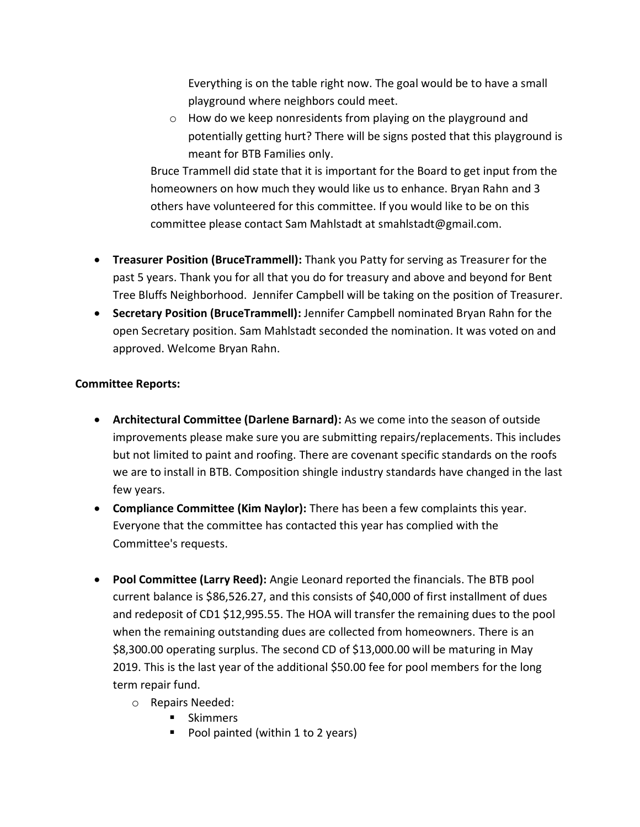Everything is on the table right now. The goal would be to have a small playground where neighbors could meet.

o How do we keep nonresidents from playing on the playground and potentially getting hurt? There will be signs posted that this playground is meant for BTB Families only.

Bruce Trammell did state that it is important for the Board to get input from the homeowners on how much they would like us to enhance. Bryan Rahn and 3 others have volunteered for this committee. If you would like to be on this committee please contact Sam Mahlstadt at smahlstadt@gmail.com.

- **Treasurer Position (BruceTrammell):** Thank you Patty for serving as Treasurer for the past 5 years. Thank you for all that you do for treasury and above and beyond for Bent Tree Bluffs Neighborhood. Jennifer Campbell will be taking on the position of Treasurer.
- **Secretary Position (BruceTrammell):** Jennifer Campbell nominated Bryan Rahn for the open Secretary position. Sam Mahlstadt seconded the nomination. It was voted on and approved. Welcome Bryan Rahn.

## **Committee Reports:**

- **Architectural Committee (Darlene Barnard):** As we come into the season of outside improvements please make sure you are submitting repairs/replacements. This includes but not limited to paint and roofing. There are covenant specific standards on the roofs we are to install in BTB. Composition shingle industry standards have changed in the last few years.
- **Compliance Committee (Kim Naylor):** There has been a few complaints this year. Everyone that the committee has contacted this year has complied with the Committee's requests.
- **Pool Committee (Larry Reed):** Angie Leonard reported the financials. The BTB pool current balance is \$86,526.27, and this consists of \$40,000 of first installment of dues and redeposit of CD1 \$12,995.55. The HOA will transfer the remaining dues to the pool when the remaining outstanding dues are collected from homeowners. There is an \$8,300.00 operating surplus. The second CD of \$13,000.00 will be maturing in May 2019. This is the last year of the additional \$50.00 fee for pool members for the long term repair fund.
	- o Repairs Needed:
		- Skimmers
		- Pool painted (within 1 to 2 years)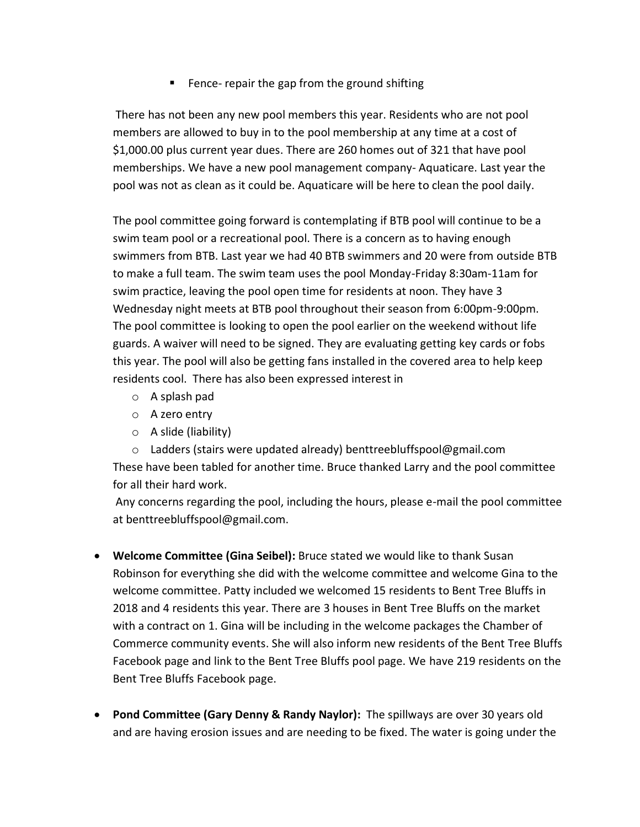■ Fence- repair the gap from the ground shifting

There has not been any new pool members this year. Residents who are not pool members are allowed to buy in to the pool membership at any time at a cost of \$1,000.00 plus current year dues. There are 260 homes out of 321 that have pool memberships. We have a new pool management company- Aquaticare. Last year the pool was not as clean as it could be. Aquaticare will be here to clean the pool daily.

The pool committee going forward is contemplating if BTB pool will continue to be a swim team pool or a recreational pool. There is a concern as to having enough swimmers from BTB. Last year we had 40 BTB swimmers and 20 were from outside BTB to make a full team. The swim team uses the pool Monday-Friday 8:30am-11am for swim practice, leaving the pool open time for residents at noon. They have 3 Wednesday night meets at BTB pool throughout their season from 6:00pm-9:00pm. The pool committee is looking to open the pool earlier on the weekend without life guards. A waiver will need to be signed. They are evaluating getting key cards or fobs this year. The pool will also be getting fans installed in the covered area to help keep residents cool. There has also been expressed interest in

- o A splash pad
- o A zero entry
- o A slide (liability)

o Ladders (stairs were updated already) benttreebluffspool@gmail.com These have been tabled for another time. Bruce thanked Larry and the pool committee for all their hard work.

Any concerns regarding the pool, including the hours, please e-mail the pool committee at benttreebluffspool@gmail.com.

- **Welcome Committee (Gina Seibel):** Bruce stated we would like to thank Susan Robinson for everything she did with the welcome committee and welcome Gina to the welcome committee. Patty included we welcomed 15 residents to Bent Tree Bluffs in 2018 and 4 residents this year. There are 3 houses in Bent Tree Bluffs on the market with a contract on 1. Gina will be including in the welcome packages the Chamber of Commerce community events. She will also inform new residents of the Bent Tree Bluffs Facebook page and link to the Bent Tree Bluffs pool page. We have 219 residents on the Bent Tree Bluffs Facebook page.
- **Pond Committee (Gary Denny & Randy Naylor):** The spillways are over 30 years old and are having erosion issues and are needing to be fixed. The water is going under the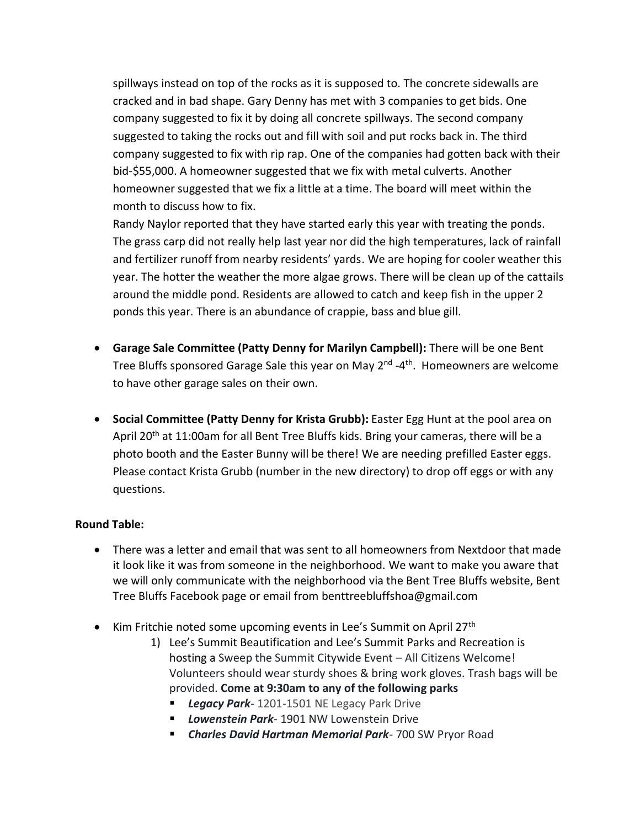spillways instead on top of the rocks as it is supposed to. The concrete sidewalls are cracked and in bad shape. Gary Denny has met with 3 companies to get bids. One company suggested to fix it by doing all concrete spillways. The second company suggested to taking the rocks out and fill with soil and put rocks back in. The third company suggested to fix with rip rap. One of the companies had gotten back with their bid-\$55,000. A homeowner suggested that we fix with metal culverts. Another homeowner suggested that we fix a little at a time. The board will meet within the month to discuss how to fix.

Randy Naylor reported that they have started early this year with treating the ponds. The grass carp did not really help last year nor did the high temperatures, lack of rainfall and fertilizer runoff from nearby residents' yards. We are hoping for cooler weather this year. The hotter the weather the more algae grows. There will be clean up of the cattails around the middle pond. Residents are allowed to catch and keep fish in the upper 2 ponds this year. There is an abundance of crappie, bass and blue gill.

- **Garage Sale Committee (Patty Denny for Marilyn Campbell):** There will be one Bent Tree Bluffs sponsored Garage Sale this year on May 2<sup>nd</sup> -4<sup>th</sup>. Homeowners are welcome to have other garage sales on their own.
- **Social Committee (Patty Denny for Krista Grubb):** Easter Egg Hunt at the pool area on April 20<sup>th</sup> at 11:00am for all Bent Tree Bluffs kids. Bring your cameras, there will be a photo booth and the Easter Bunny will be there! We are needing prefilled Easter eggs. Please contact Krista Grubb (number in the new directory) to drop off eggs or with any questions.

## **Round Table:**

- There was a letter and email that was sent to all homeowners from Nextdoor that made it look like it was from someone in the neighborhood. We want to make you aware that we will only communicate with the neighborhood via the Bent Tree Bluffs website, Bent Tree Bluffs Facebook page or email from benttreebluffshoa@gmail.com
- Kim Fritchie noted some upcoming events in Lee's Summit on April 27<sup>th</sup>
	- 1) Lee's Summit Beautification and Lee's Summit Parks and Recreation is hosting a Sweep the Summit Citywide Event – All Citizens Welcome! Volunteers should wear sturdy shoes & bring work gloves. Trash bags will be provided. **Come at 9:30am to any of the following parks**
		- **Example 2014** Legacy Park Drive
		- *Lowenstein Park* 1901 NW Lowenstein Drive
		- *Charles David Hartman Memorial Park* 700 SW Pryor Road